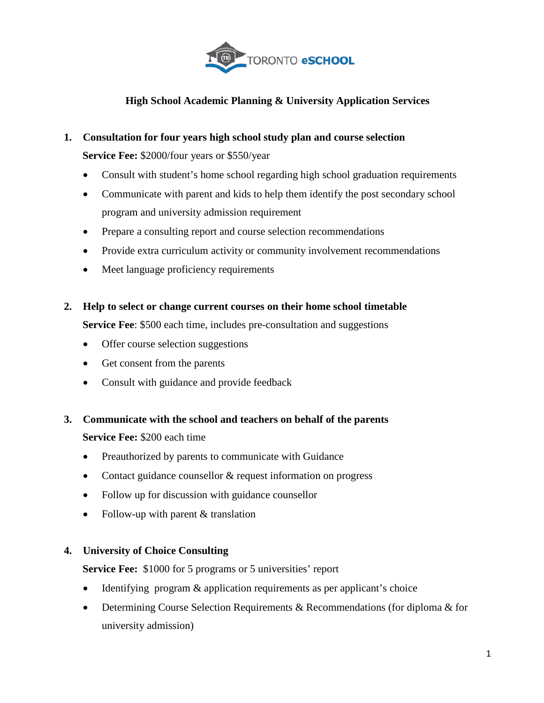

# **High School Academic Planning & University Application Services**

# **1. Consultation for four years high school study plan and course selection**

 **Service Fee:** \$2000/four years or \$550/year

- Consult with student's home school regarding high school graduation requirements
- Communicate with parent and kids to help them identify the post secondary school program and university admission requirement
- Prepare a consulting report and course selection recommendations
- Provide extra curriculum activity or community involvement recommendations
- Meet language proficiency requirements
- **2. Help to select or change current courses on their home school timetable Service Fee**: \$500 each time, includes pre-consultation and suggestions
	- Offer course selection suggestions
	- Get consent from the parents
	- Consult with guidance and provide feedback
- **3. Communicate with the school and teachers on behalf of the parents Service Fee:** \$200 each time
	- Preauthorized by parents to communicate with Guidance
	- Contact guidance counsellor & request information on progress
	- Follow up for discussion with guidance counsellor
	- Follow-up with parent & translation

#### **4. University of Choice Consulting**

**Service Fee:** \$1000 for 5 programs or 5 universities' report

- Identifying program & application requirements as per applicant's choice
- Determining Course Selection Requirements & Recommendations (for diploma & for university admission)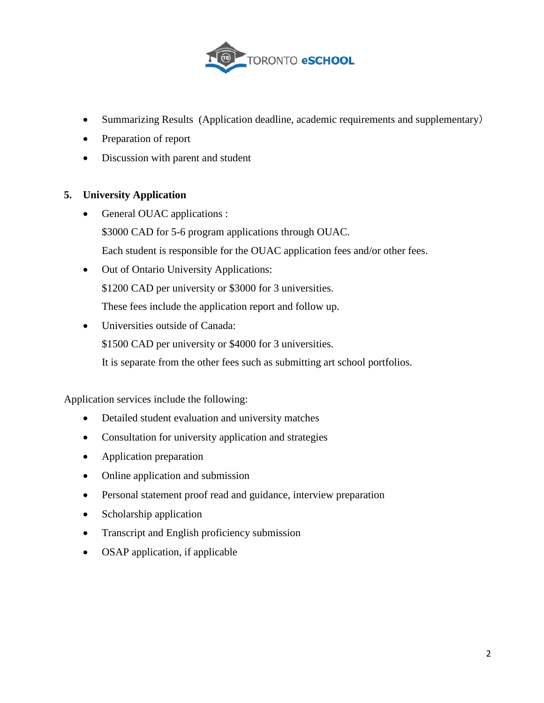

- Summarizing Results (Application deadline, academic requirements and supplementary)
- Preparation of report
- Discussion with parent and student

#### **5. University Application**

- General OUAC applications : \$3000 CAD for 5-6 program applications through OUAC. Each student is responsible for the OUAC application fees and/or other fees.
- Out of Ontario University Applications: \$1200 CAD per university or \$3000 for 3 universities. These fees include the application report and follow up.
- Universities outside of Canada:

\$1500 CAD per university or \$4000 for 3 universities.

It is separate from the other fees such as submitting art school portfolios.

Application services include the following:

- Detailed student evaluation and university matches
- Consultation for university application and strategies
- Application preparation
- Online application and submission
- Personal statement proof read and guidance, interview preparation
- Scholarship application
- Transcript and English proficiency submission
- OSAP application, if applicable